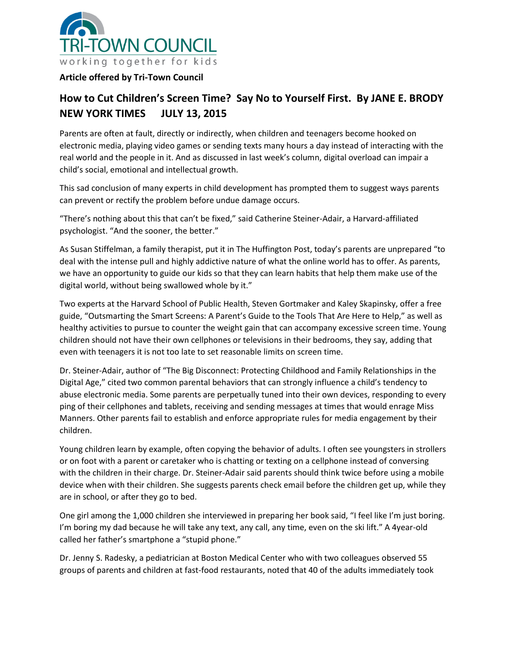

## **Article offered by Tri-Town Council**

## **How to Cut Children's Screen Time? Say No to Yourself First. By JANE E. BRODY NEW YORK TIMES JULY 13, 2015**

Parents are often at fault, directly or indirectly, when children and teenagers become hooked on electronic media, playing video games or sending texts many hours a day instead of interacting with the real world and the people in it. And as discussed in last week's column, digital overload can impair a child's social, emotional and intellectual growth.

This sad conclusion of many experts in child development has prompted them to suggest ways parents can prevent or rectify the problem before undue damage occurs.

"There's nothing about this that can't be fixed," said Catherine Steiner-Adair, a Harvard-affiliated psychologist. "And the sooner, the better."

As Susan Stiffelman, a family therapist, put it in The Huffington Post, today's parents are unprepared "to deal with the intense pull and highly addictive nature of what the online world has to offer. As parents, we have an opportunity to guide our kids so that they can learn habits that help them make use of the digital world, without being swallowed whole by it."

Two experts at the Harvard School of Public Health, Steven Gortmaker and Kaley Skapinsky, offer a free guide, "Outsmarting the Smart Screens: A Parent's Guide to the Tools That Are Here to Help," as well as healthy activities to pursue to counter the weight gain that can accompany excessive screen time. Young children should not have their own cellphones or televisions in their bedrooms, they say, adding that even with teenagers it is not too late to set reasonable limits on screen time.

Dr. Steiner-Adair, author of "The Big Disconnect: Protecting Childhood and Family Relationships in the Digital Age," cited two common parental behaviors that can strongly influence a child's tendency to abuse electronic media. Some parents are perpetually tuned into their own devices, responding to every ping of their cellphones and tablets, receiving and sending messages at times that would enrage Miss Manners. Other parents fail to establish and enforce appropriate rules for media engagement by their children.

Young children learn by example, often copying the behavior of adults. I often see youngsters in strollers or on foot with a parent or caretaker who is chatting or texting on a cellphone instead of conversing with the children in their charge. Dr. Steiner-Adair said parents should think twice before using a mobile device when with their children. She suggests parents check email before the children get up, while they are in school, or after they go to bed.

One girl among the 1,000 children she interviewed in preparing her book said, "I feel like I'm just boring. I'm boring my dad because he will take any text, any call, any time, even on the ski lift." A 4year-old called her father's smartphone a "stupid phone."

Dr. Jenny S. Radesky, a pediatrician at Boston Medical Center who with two colleagues observed 55 groups of parents and children at fast-food restaurants, noted that 40 of the adults immediately took